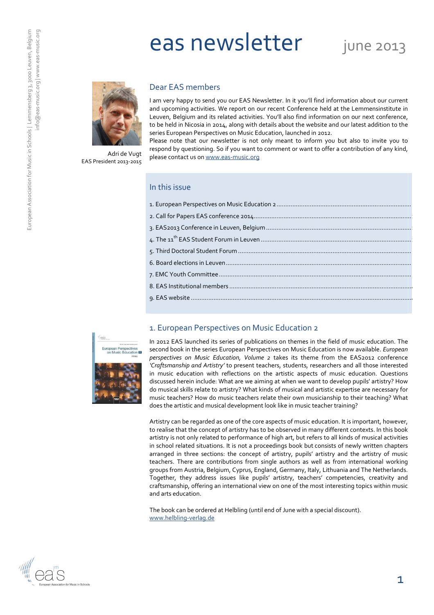# eas newsletter june 2013



Adri de Vugt EAS President 2013-2015

### Dear EAS members

I am very happy to send you our EAS Newsletter. In it you'll find information about our current and upcoming activities. We report on our recent Conference held at the Lemmensinstitute in Leuven, Belgium and its related activities. You'll also find information on our next conference, to be held in Nicosia in 2014, along with details about the website and our latest addition to the series European Perspectives on Music Education, launched in 2012.

Please note that our newsletter is not only meant to inform you but also to invite you to respond by questioning. So if you want to comment or want to offer a contribution of any kind, please contact us on www.eas-music.org

### In this issue

## 1. European Perspectives on Music Education 2



In 2012 EAS launched its series of publications on themes in the field of music education. The second book in the series European Perspectives on Music Education is now available. European perspectives on Music Education, Volume 2 takes its theme from the EAS2012 conference 'Craftsmanship and Artistry' to present teachers, students, researchers and all those interested in music education with reflections on the artistic aspects of music education. Questions discussed herein include: What are we aiming at when we want to develop pupils' artistry? How do musical skills relate to artistry? What kinds of musical and artistic expertise are necessary for music teachers? How do music teachers relate their own musicianship to their teaching? What does the artistic and musical development look like in music teacher training?

Artistry can be regarded as one of the core aspects of music education. It is important, however, to realise that the concept of artistry has to be observed in many different contexts. In this book artistry is not only related to performance of high art, but refers to all kinds of musical activities in school related situations. It is not a proceedings book but consists of newly written chapters arranged in three sections: the concept of artistry, pupils' artistry and the artistry of music teachers. There are contributions from single authors as well as from international working groups from Austria, Belgium, Cyprus, England, Germany, Italy, Lithuania and The Netherlands. Together, they address issues like pupils' artistry, teachers' competencies, creativity and craftsmanship, offering an international view on one of the most interesting topics within music and arts education.

The book can be ordered at Helbling (until end of June with a special discount). www.helbling-verlag.de

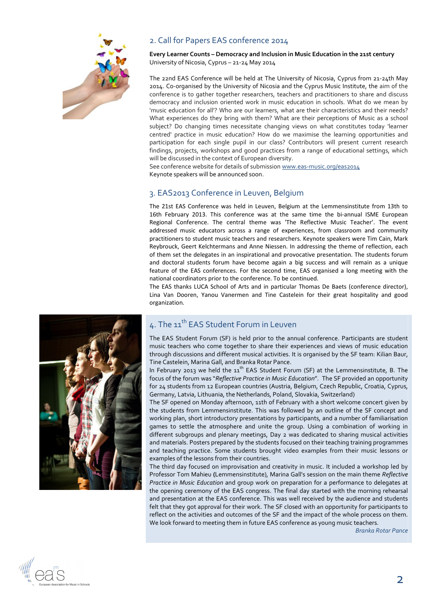

## 2. Call for Papers EAS conference 2014

#### Every Learner Counts – Democracy and Inclusion in Music Education in the 21st century University of Nicosia, Cyprus – 21-24 May 2014

The 22nd EAS Conference will be held at The University of Nicosia, Cyprus from 21-24th May 2014. Co-organised by the University of Nicosia and the Cyprus Music Institute, the aim of the conference is to gather together researchers, teachers and practitioners to share and discuss democracy and inclusion oriented work in music education in schools. What do we mean by 'music education for all'? Who are our learners, what are their characteristics and their needs? What experiences do they bring with them? What are their perceptions of Music as a school subject? Do changing times necessitate changing views on what constitutes today 'learner centred' practice in music education? How do we maximise the learning opportunities and participation for each single pupil in our class? Contributors will present current research findings, projects, workshops and good practices from a range of educational settings, which will be discussed in the context of European diversity.

See conference website for details of submission www.eas-music.org/eas2014 Keynote speakers will be announced soon.

## 3. EAS2013 Conference in Leuven, Belgium

The 21st EAS Conference was held in Leuven, Belgium at the Lemmensinstitute from 13th to 16th February 2013. This conference was at the same time the bi-annual ISME European Regional Conference. The central theme was 'The Reflective Music Teacher'. The event addressed music educators across a range of experiences, from classroom and community practitioners to student music teachers and researchers. Keynote speakers were Tim Cain, Mark Reybrouck, Geert Kelchtermans and Anne Niessen. In addressing the theme of reflection, each of them set the delegates in an inspirational and provocative presentation. The students forum and doctoral students forum have become again a big success and will remain as a unique feature of the EAS conferences. For the second time, EAS organised a long meeting with the national coordinators prior to the conference. To be continued.

The EAS thanks LUCA School of Arts and in particular Thomas De Baets (conference director), Lina Van Dooren, Yanou Vanermen and Tine Castelein for their great hospitality and good organization.



# 4. The 11<sup>th</sup> EAS Student Forum in Leuven

The EAS Student Forum (SF) is held prior to the annual conference. Participants are student music teachers who come together to share their experiences and views of music education through discussions and different musical activities. It is organised by the SF team: Kilian Baur, Tine Castelein, Marina Gall, and Branka Rotar Pance.

In February 2013 we held the  $11<sup>th</sup>$  EAS Student Forum (SF) at the Lemmensinstitute, B. The focus of the forum was "Reflective Practice in Music Education". The SF provided an opportunity for 24 students from 12 European countries (Austria, Belgium, Czech Republic, Croatia, Cyprus, Germany, Latvia, Lithuania, the Netherlands, Poland, Slovakia, Switzerland)

The SF opened on Monday afternoon, 11th of February with a short welcome concert given by the students from Lemmensinstitute. This was followed by an outline of the SF concept and working plan, short introductory presentations by participants, and a number of familiarisation games to settle the atmosphere and unite the group. Using a combination of working in different subgroups and plenary meetings, Day 2 was dedicated to sharing musical activities and materials. Posters prepared by the students focused on their teaching training programmes and teaching practice. Some students brought video examples from their music lessons or examples of the lessons from their countries.

The third day focused on improvisation and creativity in music. It included a workshop led by Professor Tom Mahieu (Lemmensinstitute), Marina Gall's session on the main theme Reflective Practice in Music Education and group work on preparation for a performance to delegates at the opening ceremony of the EAS congress. The final day started with the morning rehearsal and presentation at the EAS conference. This was well received by the audience and students felt that they got approval for their work. The SF closed with an opportunity for participants to reflect on the activities and outcomes of the SF and the impact of the whole process on them. We look forward to meeting them in future EAS conference as young music teachers.

Branka Rotar Pance

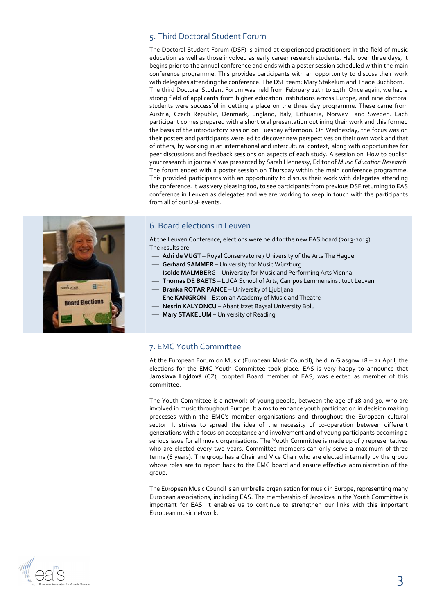## 5. Third Doctoral Student Forum

The Doctoral Student Forum (DSF) is aimed at experienced practitioners in the field of music education as well as those involved as early career research students. Held over three days, it begins prior to the annual conference and ends with a poster session scheduled within the main conference programme. This provides participants with an opportunity to discuss their work with delegates attending the conference. The DSF team: Mary Stakelum and Thade Buchborn. The third Doctoral Student Forum was held from February 12th to 14th. Once again, we had a strong field of applicants from higher education institutions across Europe, and nine doctoral students were successful in getting a place on the three day programme. These came from Austria, Czech Republic, Denmark, England, Italy, Lithuania, Norway and Sweden. Each participant comes prepared with a short oral presentation outlining their work and this formed the basis of the introductory session on Tuesday afternoon. On Wednesday, the focus was on their posters and participants were led to discover new perspectives on their own work and that of others, by working in an international and intercultural context, along with opportunities for peer discussions and feedback sessions on aspects of each study. A session on 'How to publish your research in journals' was presented by Sarah Hennessy, Editor of Music Education Research. The forum ended with a poster session on Thursday within the main conference programme. This provided participants with an opportunity to discuss their work with delegates attending the conference. It was very pleasing too, to see participants from previous DSF returning to EAS conference in Leuven as delegates and we are working to keep in touch with the participants from all of our DSF events.



## 6. Board elections in Leuven

At the Leuven Conference, elections were held for the new EAS board (2013-2015). The results are:

- Adri de VUGT Royal Conservatoire / University of the Arts The Hague
- **Gerhard SAMMER University for Music Würzburg**
- Isolde MALMBERG University for Music and Performing Arts Vienna
- Thomas DE BAETS LUCA School of Arts, Campus Lemmensinstituut Leuven
- Branka ROTAR PANCE University of Ljubljana
- Ene KANGRON Estonian Academy of Music and Theatre
- Nesrin KALYONCU Abant Izzet Baysal University Bolu
- Mary STAKELUM University of Reading

## 7. EMC Youth Committee

At the European Forum on Music (European Music Council), held in Glasgow 18 – 21 April, the elections for the EMC Youth Committee took place. EAS is very happy to announce that Jaroslava Lojdová (CZ), coopted Board member of EAS, was elected as member of this committee.

The Youth Committee is a network of young people, between the age of 18 and 30, who are involved in music throughout Europe. It aims to enhance youth participation in decision making processes within the EMC's member organisations and throughout the European cultural sector. It strives to spread the idea of the necessity of co-operation between different generations with a focus on acceptance and involvement and of young participants becoming a serious issue for all music organisations. The Youth Committee is made up of 7 representatives who are elected every two years. Committee members can only serve a maximum of three terms (6 years). The group has a Chair and Vice Chair who are elected internally by the group whose roles are to report back to the EMC board and ensure effective administration of the group.

The European Music Council is an umbrella organisation for music in Europe, representing many European associations, including EAS. The membership of Jaroslova in the Youth Committee is important for EAS. It enables us to continue to strengthen our links with this important European music network.